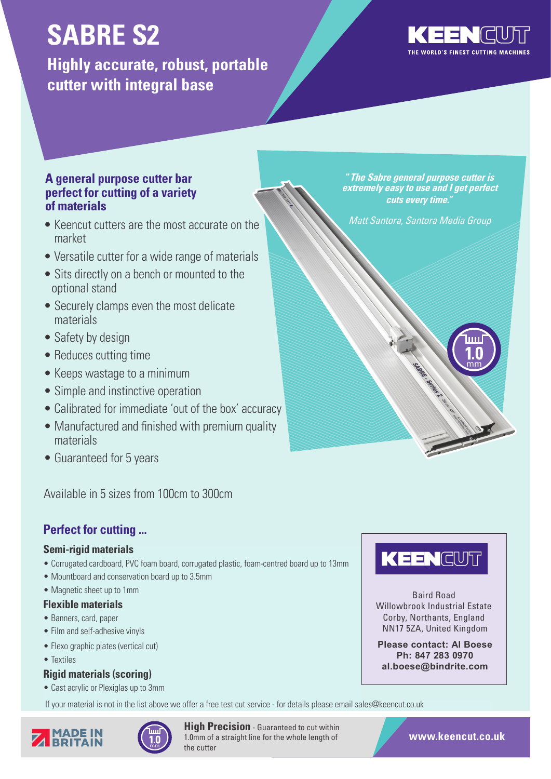# **SABRE S2**

**Highly accurate, robust, portable cutter with integral base**



mm

### **A general purpose cutter bar perfect for cutting of a variety of materials**

- Keencut cutters are the most accurate on the market
- Versatile cutter for a wide range of materials
- Sits directly on a bench or mounted to the optional stand
- Securely clamps even the most delicate materials
- Safety by design
- Reduces cutting time
- Keeps wastage to a minimum
- Simple and instinctive operation
- Calibrated for immediate 'out of the box' accuracy
- Manufactured and finished with premium quality materials
- Guaranteed for 5 years

Available in 5 sizes from 100cm to 300cm

### **Perfect for cutting ...**

#### **Semi-rigid materials**

- Corrugated cardboard, PVC foam board, corrugated plastic, foam-centred board up to 13mm
- Mountboard and conservation board up to 3.5mm
- Magnetic sheet up to 1mm

#### **Flexible materials**

- Banners, card, paper
- Film and self-adhesive vinyls
- Flexo graphic plates (vertical cut)
- Textiles

#### **Rigid materials (scoring)**

• Cast acrylic or Plexiglas up to 3mm

If your material is not in the list above we offer a free test cut service - for details please email sales@keencut.co.uk



**High Precision** - Guaranteed to cut within 1.0mm of a straight line for the whole length of the cutter



Matt Santora, Santora Media Group



Baird Road Willowbrook Industrial Estate Corby, Northants, England NN17 5ZA, United Kingdom

**Please contact: Al Boese Ph: 847 283 0970 al.boese@bindrite.com**